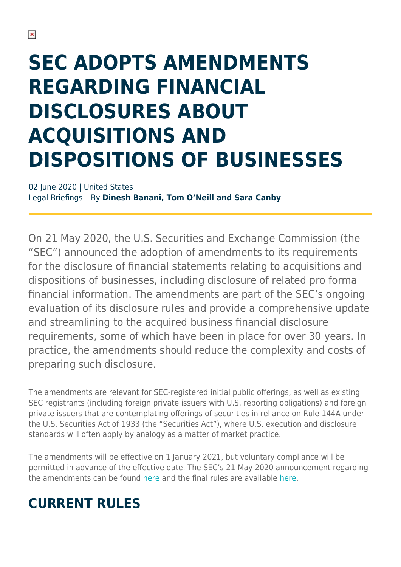# **SEC ADOPTS AMENDMENTS REGARDING FINANCIAL DISCLOSURES ABOUT ACQUISITIONS AND DISPOSITIONS OF BUSINESSES**

02 June 2020 | United States Legal Briefings – By **Dinesh Banani, Tom O'Neill and Sara Canby**

On 21 May 2020, the U.S. Securities and Exchange Commission (the "SEC") announced the adoption of amendments to its requirements for the disclosure of financial statements relating to acquisitions and dispositions of businesses, including disclosure of related pro forma financial information. The amendments are part of the SEC's ongoing evaluation of its disclosure rules and provide a comprehensive update and streamlining to the acquired business financial disclosure requirements, some of which have been in place for over 30 years. In practice, the amendments should reduce the complexity and costs of preparing such disclosure.

The amendments are relevant for SEC-registered initial public offerings, as well as existing SEC registrants (including foreign private issuers with U.S. reporting obligations) and foreign private issuers that are contemplating offerings of securities in reliance on Rule 144A under the U.S. Securities Act of 1933 (the "Securities Act"), where U.S. execution and disclosure standards will often apply by analogy as a matter of market practice.

The amendments will be effective on 1 January 2021, but voluntary compliance will be permitted in advance of the effective date. The SEC's 21 May 2020 announcement regarding the amendments can be found [here](https://www.sec.gov/news/press-release/2020-118) and the final rules are available [here.](https://www.sec.gov/rules/final/2020/33-10786.pdf)

## **CURRENT RULES**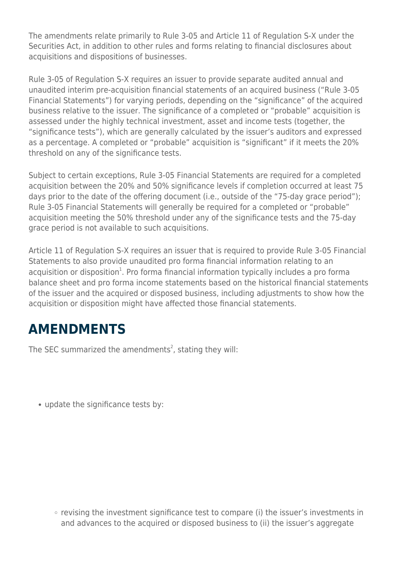The amendments relate primarily to Rule 3-05 and Article 11 of Regulation S-X under the Securities Act, in addition to other rules and forms relating to financial disclosures about acquisitions and dispositions of businesses.

Rule 3-05 of Regulation S-X requires an issuer to provide separate audited annual and unaudited interim pre-acquisition financial statements of an acquired business ("Rule 3-05 Financial Statements") for varying periods, depending on the "significance" of the acquired business relative to the issuer. The significance of a completed or "probable" acquisition is assessed under the highly technical investment, asset and income tests (together, the "significance tests"), which are generally calculated by the issuer's auditors and expressed as a percentage. A completed or "probable" acquisition is "significant" if it meets the 20% threshold on any of the significance tests.

Subject to certain exceptions, Rule 3-05 Financial Statements are required for a completed acquisition between the 20% and 50% significance levels if completion occurred at least 75 days prior to the date of the offering document (i.e., outside of the "75-day grace period"); Rule 3-05 Financial Statements will generally be required for a completed or "probable" acquisition meeting the 50% threshold under any of the significance tests and the 75-day grace period is not available to such acquisitions.

Article 11 of Regulation S-X requires an issuer that is required to provide Rule 3-05 Financial Statements to also provide unaudited pro forma financial information relating to an acquisition or disposition<sup>1</sup>. Pro forma financial information typically includes a pro forma balance sheet and pro forma income statements based on the historical financial statements of the issuer and the acquired or disposed business, including adjustments to show how the acquisition or disposition might have affected those financial statements.

## **AMENDMENTS**

The SEC summarized the amendments<sup>2</sup>, stating they will:

update the significance tests by:

 $\circ$  revising the investment significance test to compare (i) the issuer's investments in and advances to the acquired or disposed business to (ii) the issuer's aggregate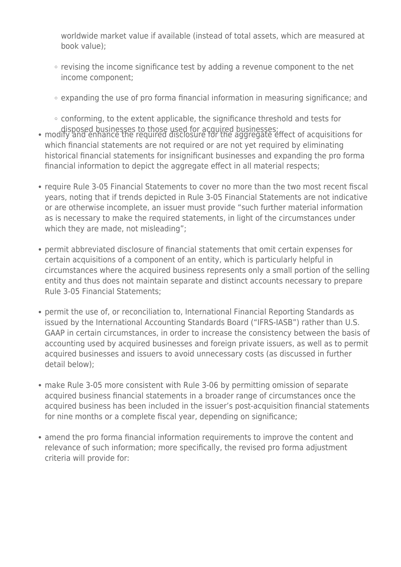worldwide market value if available (instead of total assets, which are measured at book value);

- revising the income significance test by adding a revenue component to the net income component;
- expanding the use of pro forma financial information in measuring significance; and

○ conforming, to the extent applicable, the significance threshold and tests for

- disposed businesses to those used for acquired businesses; modify and enhance the required disclosure for the aggregate effect of acquisitions for which financial statements are not required or are not yet required by eliminating historical financial statements for insignificant businesses and expanding the pro forma financial information to depict the aggregate effect in all material respects;
- require Rule 3-05 Financial Statements to cover no more than the two most recent fiscal years, noting that if trends depicted in Rule 3-05 Financial Statements are not indicative or are otherwise incomplete, an issuer must provide "such further material information as is necessary to make the required statements, in light of the circumstances under which they are made, not misleading";
- permit abbreviated disclosure of financial statements that omit certain expenses for certain acquisitions of a component of an entity, which is particularly helpful in circumstances where the acquired business represents only a small portion of the selling entity and thus does not maintain separate and distinct accounts necessary to prepare Rule 3-05 Financial Statements;
- permit the use of, or reconciliation to, International Financial Reporting Standards as issued by the International Accounting Standards Board ("IFRS-IASB") rather than U.S. GAAP in certain circumstances, in order to increase the consistency between the basis of accounting used by acquired businesses and foreign private issuers, as well as to permit acquired businesses and issuers to avoid unnecessary costs (as discussed in further detail below);
- make Rule 3-05 more consistent with Rule 3-06 by permitting omission of separate acquired business financial statements in a broader range of circumstances once the acquired business has been included in the issuer's post-acquisition financial statements for nine months or a complete fiscal year, depending on significance;
- amend the pro forma financial information requirements to improve the content and relevance of such information; more specifically, the revised pro forma adjustment criteria will provide for: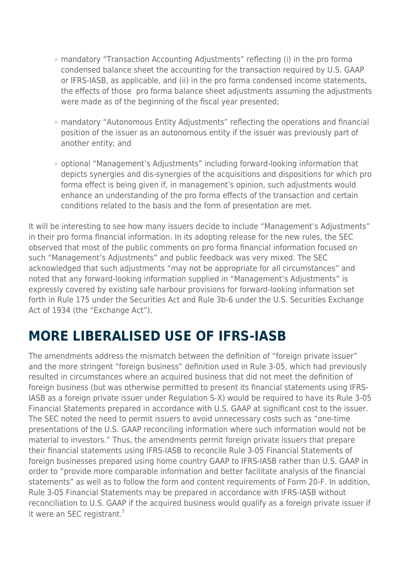- mandatory "Transaction Accounting Adjustments" reflecting (i) in the pro forma condensed balance sheet the accounting for the transaction required by U.S. GAAP or IFRS-IASB, as applicable, and (ii) in the pro forma condensed income statements, the effects of those pro forma balance sheet adjustments assuming the adjustments were made as of the beginning of the fiscal year presented;
- mandatory "Autonomous Entity Adjustments" reflecting the operations and financial position of the issuer as an autonomous entity if the issuer was previously part of another entity; and
- optional "Management's Adjustments" including forward-looking information that depicts synergies and dis-synergies of the acquisitions and dispositions for which pro forma effect is being given if, in management's opinion, such adjustments would enhance an understanding of the pro forma effects of the transaction and certain conditions related to the basis and the form of presentation are met.

It will be interesting to see how many issuers decide to include "Management's Adjustments" in their pro forma financial information. In its adopting release for the new rules, the SEC observed that most of the public comments on pro forma financial information focused on such "Management's Adjustments" and public feedback was very mixed. The SEC acknowledged that such adjustments "may not be appropriate for all circumstances" and noted that any forward-looking information supplied in "Management's Adjustments" is expressly covered by existing safe harbour provisions for forward-looking information set forth in Rule 175 under the Securities Act and Rule 3b-6 under the U.S. Securities Exchange Act of 1934 (the "Exchange Act").

#### **MORE LIBERALISED USE OF IFRS-IASB**

The amendments address the mismatch between the definition of "foreign private issuer" and the more stringent "foreign business" definition used in Rule 3-05, which had previously resulted in circumstances where an acquired business that did not meet the definition of foreign business (but was otherwise permitted to present its financial statements using IFRS-IASB as a foreign private issuer under Regulation S-X) would be required to have its Rule 3-05 Financial Statements prepared in accordance with U.S. GAAP at significant cost to the issuer. The SEC noted the need to permit issuers to avoid unnecessary costs such as "one-time presentations of the U.S. GAAP reconciling information where such information would not be material to investors." Thus, the amendments permit foreign private issuers that prepare their financial statements using IFRS-IASB to reconcile Rule 3-05 Financial Statements of foreign businesses prepared using home country GAAP to IFRS-IASB rather than U.S. GAAP in order to "provide more comparable information and better facilitate analysis of the financial statements" as well as to follow the form and content requirements of Form 20-F. In addition, Rule 3-05 Financial Statements may be prepared in accordance with IFRS-IASB without reconciliation to U.S. GAAP if the acquired business would qualify as a foreign private issuer if it were an SEC registrant.<sup>3</sup>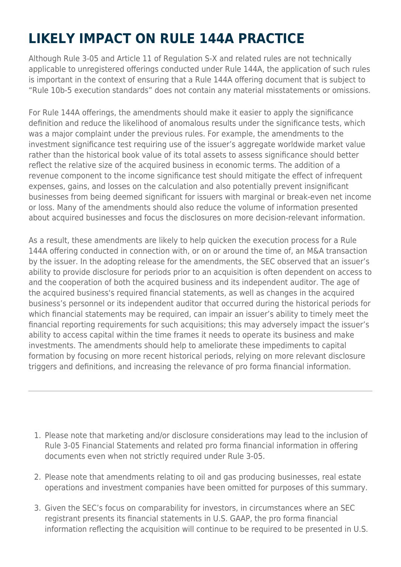# **LIKELY IMPACT ON RULE 144A PRACTICE**

Although Rule 3-05 and Article 11 of Regulation S-X and related rules are not technically applicable to unregistered offerings conducted under Rule 144A, the application of such rules is important in the context of ensuring that a Rule 144A offering document that is subject to "Rule 10b-5 execution standards" does not contain any material misstatements or omissions.

For Rule 144A offerings, the amendments should make it easier to apply the significance definition and reduce the likelihood of anomalous results under the significance tests, which was a major complaint under the previous rules. For example, the amendments to the investment significance test requiring use of the issuer's aggregate worldwide market value rather than the historical book value of its total assets to assess significance should better reflect the relative size of the acquired business in economic terms. The addition of a revenue component to the income significance test should mitigate the effect of infrequent expenses, gains, and losses on the calculation and also potentially prevent insignificant businesses from being deemed significant for issuers with marginal or break-even net income or loss. Many of the amendments should also reduce the volume of information presented about acquired businesses and focus the disclosures on more decision-relevant information.

As a result, these amendments are likely to help quicken the execution process for a Rule 144A offering conducted in connection with, or on or around the time of, an M&A transaction by the issuer. In the adopting release for the amendments, the SEC observed that an issuer's ability to provide disclosure for periods prior to an acquisition is often dependent on access to and the cooperation of both the acquired business and its independent auditor. The age of the acquired business's required financial statements, as well as changes in the acquired business's personnel or its independent auditor that occurred during the historical periods for which financial statements may be required, can impair an issuer's ability to timely meet the financial reporting requirements for such acquisitions; this may adversely impact the issuer's ability to access capital within the time frames it needs to operate its business and make investments. The amendments should help to ameliorate these impediments to capital formation by focusing on more recent historical periods, relying on more relevant disclosure triggers and definitions, and increasing the relevance of pro forma financial information.

- 1. Please note that marketing and/or disclosure considerations may lead to the inclusion of Rule 3-05 Financial Statements and related pro forma financial information in offering documents even when not strictly required under Rule 3-05.
- 2. Please note that amendments relating to oil and gas producing businesses, real estate operations and investment companies have been omitted for purposes of this summary.
- 3. Given the SEC's focus on comparability for investors, in circumstances where an SEC registrant presents its financial statements in U.S. GAAP, the pro forma financial information reflecting the acquisition will continue to be required to be presented in U.S.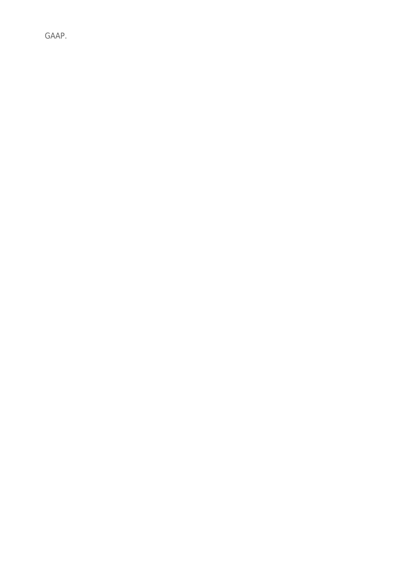GAAP.